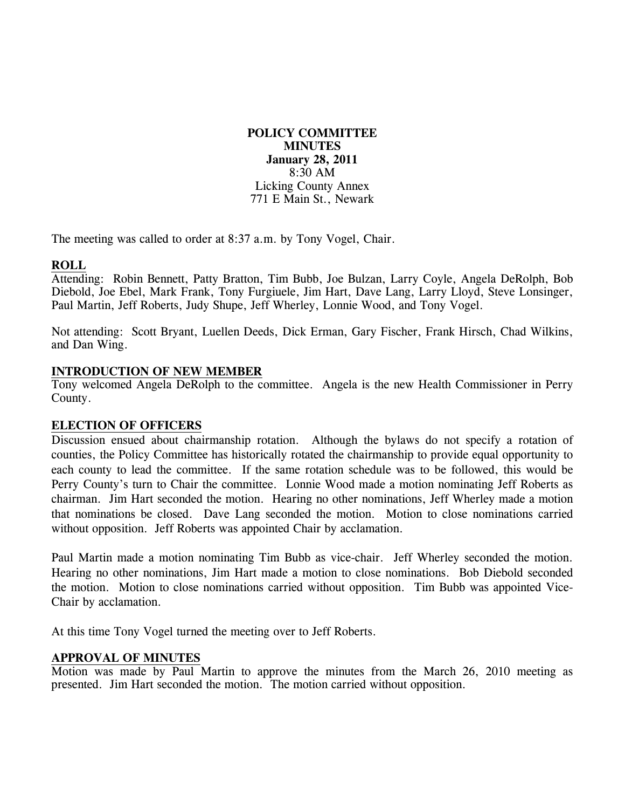# **POLICY COMMITTEE MINUTES January 28, 2011**  8:30 AM Licking County Annex 771 E Main St., Newark

The meeting was called to order at 8:37 a.m. by Tony Vogel, Chair.

# **ROLL**

Attending: Robin Bennett, Patty Bratton, Tim Bubb, Joe Bulzan, Larry Coyle, Angela DeRolph, Bob Diebold, Joe Ebel, Mark Frank, Tony Furgiuele, Jim Hart, Dave Lang, Larry Lloyd, Steve Lonsinger, Paul Martin, Jeff Roberts, Judy Shupe, Jeff Wherley, Lonnie Wood, and Tony Vogel.

Not attending: Scott Bryant, Luellen Deeds, Dick Erman, Gary Fischer, Frank Hirsch, Chad Wilkins, and Dan Wing.

### **INTRODUCTION OF NEW MEMBER**

Tony welcomed Angela DeRolph to the committee. Angela is the new Health Commissioner in Perry County.

### **ELECTION OF OFFICERS**

Discussion ensued about chairmanship rotation. Although the bylaws do not specify a rotation of counties, the Policy Committee has historically rotated the chairmanship to provide equal opportunity to each county to lead the committee. If the same rotation schedule was to be followed, this would be Perry County's turn to Chair the committee. Lonnie Wood made a motion nominating Jeff Roberts as chairman. Jim Hart seconded the motion. Hearing no other nominations, Jeff Wherley made a motion that nominations be closed. Dave Lang seconded the motion. Motion to close nominations carried without opposition. Jeff Roberts was appointed Chair by acclamation.

Paul Martin made a motion nominating Tim Bubb as vice-chair. Jeff Wherley seconded the motion. Hearing no other nominations, Jim Hart made a motion to close nominations. Bob Diebold seconded the motion. Motion to close nominations carried without opposition. Tim Bubb was appointed Vice-Chair by acclamation.

At this time Tony Vogel turned the meeting over to Jeff Roberts.

### **APPROVAL OF MINUTES**

Motion was made by Paul Martin to approve the minutes from the March 26, 2010 meeting as presented. Jim Hart seconded the motion. The motion carried without opposition.